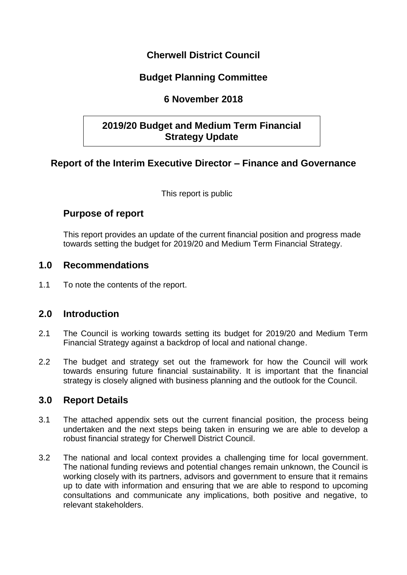## **Cherwell District Council**

# **Budget Planning Committee**

# **6 November 2018**

# **2019/20 Budget and Medium Term Financial Strategy Update**

## **Report of the Interim Executive Director – Finance and Governance**

This report is public

## **Purpose of report**

This report provides an update of the current financial position and progress made towards setting the budget for 2019/20 and Medium Term Financial Strategy.

### **1.0 Recommendations**

1.1 To note the contents of the report.

## **2.0 Introduction**

- 2.1 The Council is working towards setting its budget for 2019/20 and Medium Term Financial Strategy against a backdrop of local and national change.
- 2.2 The budget and strategy set out the framework for how the Council will work towards ensuring future financial sustainability. It is important that the financial strategy is closely aligned with business planning and the outlook for the Council.

## **3.0 Report Details**

- 3.1 The attached appendix sets out the current financial position, the process being undertaken and the next steps being taken in ensuring we are able to develop a robust financial strategy for Cherwell District Council.
- 3.2 The national and local context provides a challenging time for local government. The national funding reviews and potential changes remain unknown, the Council is working closely with its partners, advisors and government to ensure that it remains up to date with information and ensuring that we are able to respond to upcoming consultations and communicate any implications, both positive and negative, to relevant stakeholders.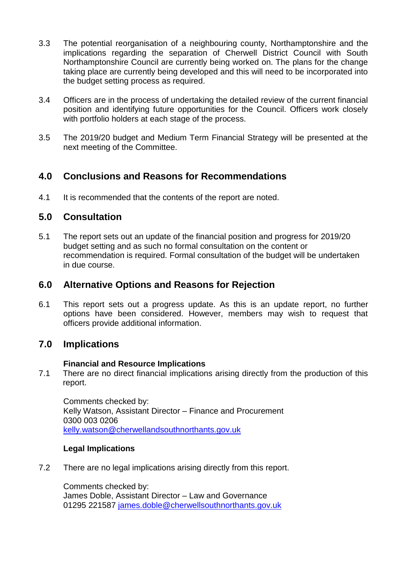- 3.3 The potential reorganisation of a neighbouring county, Northamptonshire and the implications regarding the separation of Cherwell District Council with South Northamptonshire Council are currently being worked on. The plans for the change taking place are currently being developed and this will need to be incorporated into the budget setting process as required.
- 3.4 Officers are in the process of undertaking the detailed review of the current financial position and identifying future opportunities for the Council. Officers work closely with portfolio holders at each stage of the process.
- 3.5 The 2019/20 budget and Medium Term Financial Strategy will be presented at the next meeting of the Committee.

# **4.0 Conclusions and Reasons for Recommendations**

4.1 It is recommended that the contents of the report are noted.

### **5.0 Consultation**

5.1 The report sets out an update of the financial position and progress for 2019/20 budget setting and as such no formal consultation on the content or recommendation is required. Formal consultation of the budget will be undertaken in due course.

### **6.0 Alternative Options and Reasons for Rejection**

6.1 This report sets out a progress update. As this is an update report, no further options have been considered. However, members may wish to request that officers provide additional information.

## **7.0 Implications**

#### **Financial and Resource Implications**

7.1 There are no direct financial implications arising directly from the production of this report.

Comments checked by: Kelly Watson, Assistant Director – Finance and Procurement 0300 003 0206 [kelly.watson@cherwellandsouthnorthants.gov.uk](mailto:kelly.watson@cherwellandsouthnorthants.gov.uk)

#### **Legal Implications**

7.2 There are no legal implications arising directly from this report.

Comments checked by: James Doble, Assistant Director – Law and Governance 01295 221587 [james.doble@cherwellsouthnorthants.gov.uk](mailto:james.doble@cherwellsouthnorthants.gov.uk)